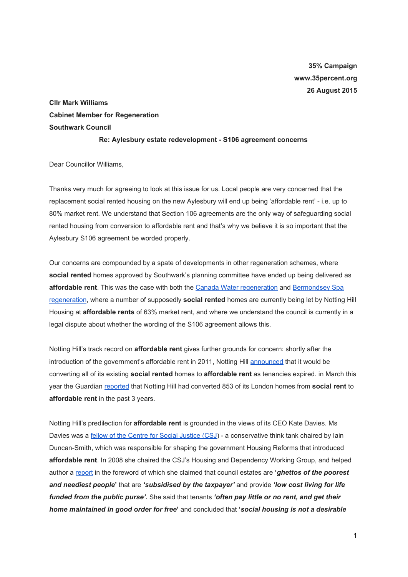# **35% Campaign www.35percent.org 26 August 2015**

**Cllr Mark Williams Cabinet Member for Regeneration Southwark Council**

#### **Re: Aylesbury estate redevelopment S106 agreement concerns**

Dear Councillor Williams,

Thanks very much for agreeing to look at this issue for us. Local people are very concerned that the replacement social rented housing on the new Aylesbury will end up being 'affordable rent' i.e. up to 80% market rent. We understand that Section 106 agreements are the only way of safeguarding social rented housing from conversion to affordable rent and that's why we believe it is so important that the Aylesbury S106 agreement be worded properly.

Our concerns are compounded by a spate of developments in other regeneration schemes, where **social rented**homes approved by Southwark's planning committee have ended up being delivered as affordable rent. This was the case with both the **Canada Water [regeneration](http://35percent.org/canada-water/)** and **[Bermondsey](http://35percent.org/blog/2015/03/18/stand-up-for-more-social-housing/) Spa** [regeneration](http://35percent.org/blog/2015/03/18/stand-up-for-more-social-housing/), where a number of supposedly **social rented**homes are currently being let by Notting Hill Housing at **affordable rents**of 63% market rent, and where we understand the council is currently in a legal dispute about whether the wording of the S106 agreement allows this.

Notting Hill's track record on **affordable rent**gives further grounds for concern: shortly after the introduction of the government's affordable rent in 2011, Notting Hill [announced](http://www.nottinghillhousing.org.uk/customers/permanent-rented-housing/information-for-permanent-rented-housing-tenants/affordable-rent-update) that it would be converting all of its existing **social rented**homes to **affordable rent**as tenancies expired. in March this year the Guardian [reported](http://www.theguardian.com/society/2015/mar/29/tenants-face-70m-rent-rise-as-social-housing-converted-to-affordable-homes) that Notting Hill had converted 853 of its London homes from **social rent**to **affordable rent**in the past 3 years.

Notting Hill's predilection for **affordable rent**is grounded in the views of its CEO Kate Davies. Ms Davies was a fellow of the Centre for Social [Justice](http://www.centreforsocialjustice.org.uk/about-us/csj-fellows/kate-davies) (CSJ) - a conservative think tank chaired by Iain Duncan-Smith, which was responsible for shaping the government Housing Reforms that introduced **affordable rent**. In 2008 she chaired the CSJ's Housing and Dependency Working Group, and helped author a [report](http://www.centreforsocialjustice.org.uk/UserStorage/pdf/Pdf%20reports/HousingPoverty.pdf) in the foreword of which she claimed that council estates are **'***ghettos of the poorest and neediest people***'**that are *'subsidised by the taxpayer'*and provide *'low cost living for life funded from the public purse'***.**She said that tenants *'often pay little or no rent, and get their home maintained in good order for free***'** and concluded that **'***social housing is not a desirable*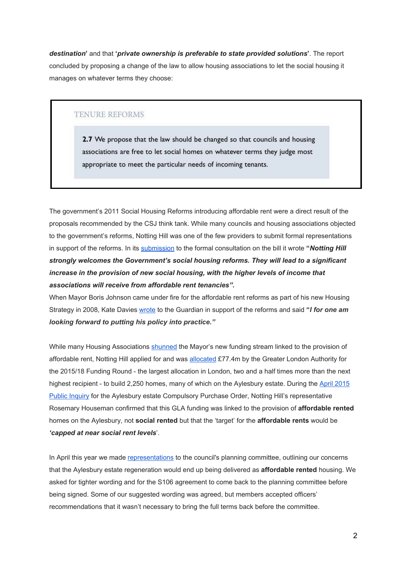*destination***'**and that **'***private ownership is preferable to state provided solutions***'**. The report concluded by proposing a change of the law to allow housing associations to let the social housing it manages on whatever terms they choose:

### **TENURE REFORMS**

2.7 We propose that the law should be changed so that councils and housing associations are free to let social homes on whatever terms they judge most appropriate to meet the particular needs of incoming tenants.

The government's 2011 Social Housing Reforms introducing affordable rent were a direct result of the proposals recommended by the CSJ think tank. While many councils and housing associations objected to the government's reforms, Notting Hill was one of the few providers to submit formal representations in support of the reforms. In its [submission](https://www.gov.uk/government/uploads/system/uploads/attachment_data/file/8483/2109183.pdf) to the formal consultation on the bill it wrote **"***Notting Hill strongly welcomes the Government's social housing reforms. They will lead to a significant increase in the provision of new social housing, with the higher levels of income that associations will receive from affordable rent tenancies"***.**

When Mayor Boris Johnson came under fire for the affordable rent reforms as part of his new Housing Strategy in 2008, Kate Davies [wrote](http://www.theguardian.com/uk/davehillblog/2008/nov/21/boris-johnson-housing) to the Guardian in support of the reforms and said **"***I for one am looking forward to putting his policy into practice."*

While many Housing Associations [shunned](http://35percent.org/images/InsideHousingBoris.pdf) the Mayor's new funding stream linked to the provision of affordable rent, Notting Hill applied for and was [allocated](http://www.nottinghillhousing.org.uk/asset/download/8632) £77.4m by the Greater London Authority for the 2015/18 Funding Round - the largest allocation in London, two and a half times more than the next highest recipient - to build 2,250 homes, many of which on the Aylesbury estate. During the April [2015](http://35percent.org/blog/2015/05/02/aylesbury-estate-compulsory-purchase-order-public-inquiry/) Public [Inquiry](http://35percent.org/blog/2015/05/02/aylesbury-estate-compulsory-purchase-order-public-inquiry/) for the Aylesbury estate Compulsory Purchase Order, Notting Hill's representative Rosemary Houseman confirmed that this GLA funding was linked to the provision of **affordable rented** homes on the Aylesbury, not **social rented** but that the 'target' for the **affordable rents**would be *'capped at near social rent levels*'.

In April this year we made [representations](http://35percent.org/images/AylesburyPlanningApplications_ref15AP3843-44.pdf) to the council's planning committee, outlining our concerns that the Aylesbury estate regeneration would end up being delivered as **affordable rented**housing. We asked for tighter wording and for the S106 agreement to come back to the planning committee before being signed. Some of our suggested wording was agreed, but members accepted officers' recommendations that it wasn't necessary to bring the full terms back before the committee.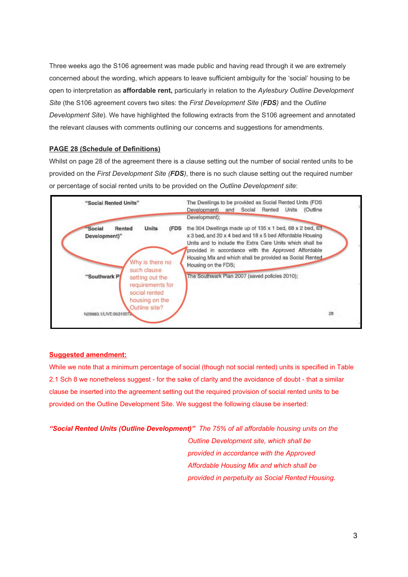Three weeks ago the S106 agreement was made public and having read through it we are extremely concerned about the wording, which appears to leave sufficient ambiguity for the 'social' housing to be open to interpretation as **affordable rent,** particularly in relation to the *Aylesbury Outline Development Site* (the S106 agreement covers two sites: the *First Development Site (FDS)*and the *Outline Development Site*). We have highlighted the following extracts from the S106 agreement and annotated the relevant clauses with comments outlining our concerns and suggestions for amendments.

#### **PAGE 28 (Schedule of Definitions)**

Whilst on page 28 of the agreement there is a clause setting out the number of social rented units to be provided on the *First Development Site (FDS)*, there is no such clause setting out the required number or percentage of social rented units to be provided on the *Outline Development site*:



#### **Suggested amendment:**

While we note that a minimum percentage of social (though not social rented) units is specified in Table 2.1 Sch 8 we nonetheless suggest - for the sake of clarity and the avoidance of doubt - that a similar clause be inserted into the agreement setting out the required provision of social rented units to be provided on the Outline Development Site. We suggest the following clause be inserted:

*"Social Rented Units (Outline Development)"The 75% of all affordable housing units on the Outline Development site, which shall be provided in accordance with the Approved Affordable Housing Mix and which shall be provided in perpetuity as Social Rented Housing.*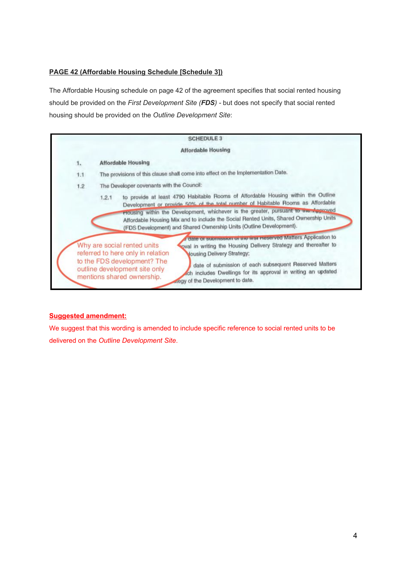## **PAGE 42 (Affordable Housing Schedule [Schedule 3])**

The Affordable Housing schedule on page 42 of the agreement specifies that social rented housing should be provided on the *First Development Site (FDS)* but does not specify that social rented housing should be provided on the *Outline Development Site*:

|     | <b>SCHEDULE 3</b>                                                                                                                                                                                                                                              |  |  |  |  |  |  |
|-----|----------------------------------------------------------------------------------------------------------------------------------------------------------------------------------------------------------------------------------------------------------------|--|--|--|--|--|--|
|     | <b>Affordable Housing</b>                                                                                                                                                                                                                                      |  |  |  |  |  |  |
| 1.  | <b>Affordable Housing</b>                                                                                                                                                                                                                                      |  |  |  |  |  |  |
| 1.1 | The provisions of this clause shall come into effect on the Implementation Date.                                                                                                                                                                               |  |  |  |  |  |  |
| 1.2 | The Developer covenants with the Council:                                                                                                                                                                                                                      |  |  |  |  |  |  |
|     | Development or provide 50% of the total number of Habitable Rooms as Affordable<br>Housing within the Development, whichever is the greater, pursuant to the Approved<br>Affordable Housing Mix and to include the Social Rented Units, Shared Ownership Units |  |  |  |  |  |  |
|     | (FDS Development) and Shared Ownership Units (Outline Development).<br>date or submission or the first neserved Matters Application to                                                                                                                         |  |  |  |  |  |  |

## **Suggested amendment:**

We suggest that this wording is amended to include specific reference to social rented units to be delivered on the *Outline Development Site*.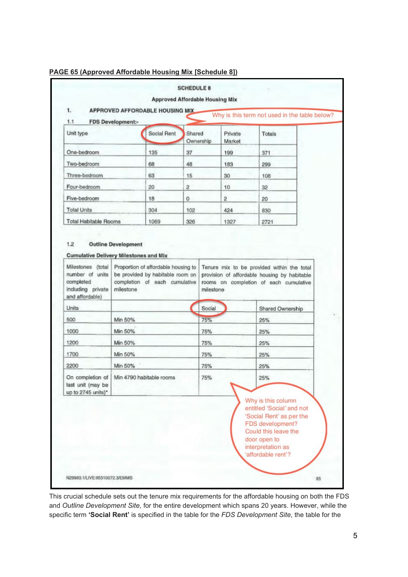### **PAGE 65 (Approved Affordable Housing Mix [Schedule 8])**

| Unit type                                                   |                          | <b>Social Rent</b> | Shared           | Ownership | Private<br>Market | Totals                                                                                                                                  |  |
|-------------------------------------------------------------|--------------------------|--------------------|------------------|-----------|-------------------|-----------------------------------------------------------------------------------------------------------------------------------------|--|
| One-bedroom                                                 |                          | 135                | 37               |           | 199               | 371                                                                                                                                     |  |
| Two-bedroom                                                 |                          | 68                 | 48               |           | 183               | 299                                                                                                                                     |  |
| Three-bedroom                                               |                          | 63                 | 15               |           | 30                | 108                                                                                                                                     |  |
| Four-bedroom                                                |                          | 20                 | $\boldsymbol{2}$ |           | 10                | 32                                                                                                                                      |  |
| Five-bedroom                                                |                          | 18                 | $\circ$          |           | $\overline{2}$    | 20                                                                                                                                      |  |
| <b>Total Units</b>                                          |                          | 304                | 102              |           | 424               | 830                                                                                                                                     |  |
| <b>Total Habitable Rooms</b>                                |                          | 1069               | 326              |           | 1327              | 2721                                                                                                                                    |  |
| <b>Units</b>                                                |                          |                    |                  | Social    |                   | Shared Ownership                                                                                                                        |  |
| 500                                                         | Min 50%                  |                    |                  | 75%       |                   | 25%                                                                                                                                     |  |
| 1000                                                        | Min 50%                  |                    |                  | 75%       |                   | 25%                                                                                                                                     |  |
| 1200                                                        | Min 50%                  |                    |                  | 75%       |                   | 25%                                                                                                                                     |  |
| 1700                                                        | Min 50%                  |                    |                  | 75%       |                   | 25%                                                                                                                                     |  |
| 2200                                                        | Min 50%                  |                    |                  | 75%       |                   | 25%                                                                                                                                     |  |
| On completion of<br>last unit (may be<br>up to 2745 units)* | Min 4790 habitable rooms |                    |                  | 75%       |                   | 25%                                                                                                                                     |  |
|                                                             |                          |                    |                  |           |                   | Why is this column<br>entitled 'Social' and not<br>'Social Rent' as per the<br>FDS development?<br>Could this leave the<br>door open to |  |

This crucial schedule sets out the tenure mix requirements for the affordable housing on both the FDS and *Outline Development Site,* for the entire development which spans 20 years. However, while the specific term **'Social Rent'**is specified in the table for the *FDS Development Site*, the table for the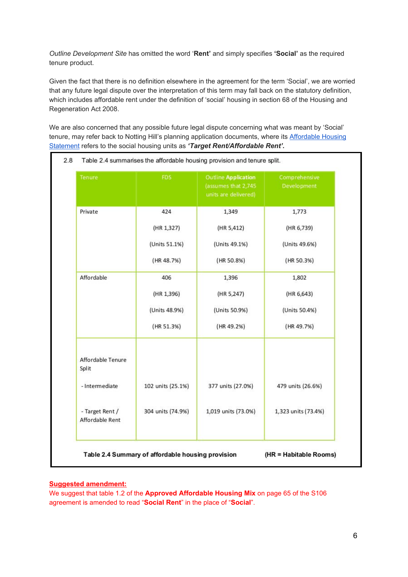*Outline Development Site* has omitted the word '**Rent'**and simply specifies **'Social'**as the required tenure product.

Given the fact that there is no definition elsewhere in the agreement for the term 'Social', we are worried that any future legal dispute over the interpretation of this term may fall back on the statutory definition, which includes affordable rent under the definition of 'social' housing in section 68 of the Housing and Regeneration Act 2008.

We are also concerned that any possible future legal dispute concerning what was meant by 'Social' tenure, may refer back to Notting Hill's planning application documents, where its [Affordable](http://planbuild.southwark.gov.uk/documents/?GetDocument=%7b%7b%7b!bTXZWM0hPGtegs%2bpePIiQQ%3d%3d!%7d%7d%7d) Housing [Statement](http://planbuild.southwark.gov.uk/documents/?GetDocument=%7b%7b%7b!bTXZWM0hPGtegs%2bpePIiQQ%3d%3d!%7d%7d%7d) refers to the social housing units as *'Target Rent/Affordable Rent'***.**

| Tenure                             | FDS.              | <b>Outline Application</b><br>(assumes that 2,745<br>units are delivered) | Comprehensive<br>Development |
|------------------------------------|-------------------|---------------------------------------------------------------------------|------------------------------|
| Private                            | 424               | 1,349                                                                     | 1,773                        |
|                                    | (HR 1,327)        | (HR 5,412)                                                                | (HR 6,739)                   |
|                                    | (Units 51.1%)     | (Units 49.1%)                                                             | (Units 49.6%)                |
|                                    | (HR 48.7%)        | (HR 50.8%)                                                                | (HR 50.3%)                   |
| Affordable                         | 406               | 1,396                                                                     | 1,802                        |
|                                    | (HR 1,396)        | (HR 5,247)                                                                | (HR 6,643)                   |
|                                    | (Units 48.9%)     | (Units 50.9%)                                                             | (Units 50.4%)                |
|                                    | (HR 51.3%)        | (HR 49.2%)                                                                | (HR 49.7%)                   |
| Affordable Tenure<br>Split         |                   |                                                                           |                              |
| - Intermediate                     | 102 units (25.1%) | 377 units (27.0%)                                                         | 479 units (26.6%)            |
| - Target Rent /<br>Affordable Rent | 304 units (74.9%) | 1,019 units (73.0%)                                                       | 1,323 units (73.4%)          |

#### **Suggested amendment:**

We suggest that table 1.2 of the **Approved Affordable Housing Mix**on page 65 of the S106 agreement is amended to read "**Social Rent**"in the place of "**Social**".